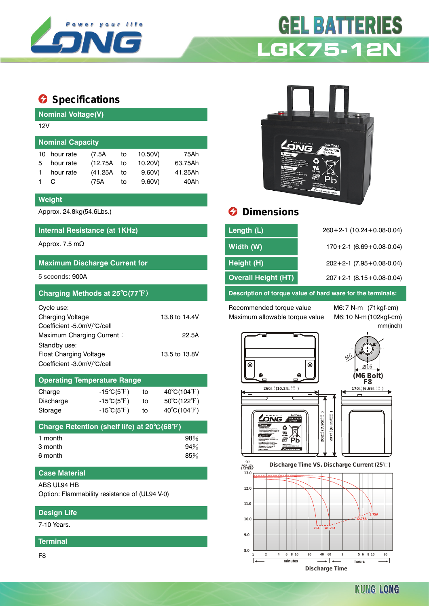

# **GEL BATTERIES LGK75-12N**

# $\bullet$  Specifications

**Nominal Voltage(V)**

| 12V                     |           |          |    |         |         |  |  |
|-------------------------|-----------|----------|----|---------|---------|--|--|
| <b>Nominal Capacity</b> |           |          |    |         |         |  |  |
| 10                      | hour rate | (7.5A    | to | 10.50V) | 75Ah    |  |  |
| 5                       | hour rate | (12.75A) | to | 10.20V) | 63.75Ah |  |  |
|                         | hour rate | (41.25A) | to | 9.60V   | 41.25Ah |  |  |
|                         | C         | (75A     | to | 9.60V   | 40Ah    |  |  |
|                         |           |          |    |         |         |  |  |

#### **Weight**

#### **Internal Resistance (at 1KHz)**

# **Maximum Discharge Current for**

| Charging Methods at 25°C(77°F) |               |
|--------------------------------|---------------|
| Cycle use:                     |               |
| <b>Charging Voltage</b>        | 13.8 to 14.4V |
| Coefficient -5.0mV/°C/cell     |               |
| Maximum Charging Current:      | 22.5A         |
| Standby use:                   |               |
| Float Charging Voltage         | 13.5 to 13.8V |
| Coefficient -3.0mV/°C/cell     |               |

# **Operating Temperature Range**

| Charge    | $-15^{\circ}C(5^{\circ}F)$ | to | $40^{\circ}$ C(104 $^{\circ}$ F) |
|-----------|----------------------------|----|----------------------------------|
| Discharge | $-15^{\circ}C(5^{\circ}F)$ | to | $50^{\circ}$ C(122 $^{\circ}$ F) |
| Storage   | $-15^{\circ}C(5^{\circ}F)$ | to | $40^{\circ}$ C(104 $^{\circ}$ F) |

| Charge Retention (shelf life) at 20°C(68°F) |        |
|---------------------------------------------|--------|
| 1 month                                     | $98\%$ |
| 3 month                                     | 94%    |
| 6 month                                     | 85%    |

#### **Case Material**

ABS UL94 HB

Option: Flammability resistance of (UL94 V-0)

## **Design Life**

7-10 Years.

#### **Terminal**

F8



# Approx. 24.8kg(54.6Lbs.) **Dimensions**

| Internal Resistance (at 1KHz)        | Length (L)                 | $260+2-1$ (10.24+0.08-0.04)        |
|--------------------------------------|----------------------------|------------------------------------|
| Approx. 7.5 mΩ                       | Width (W)                  | $170+2-1$ (6.69 + 0.08-0.04)       |
| <b>Maximum Discharge Current for</b> | Height (H)                 | $202+2-1$ (7.95 + 0.08-0.04)       |
| 5 seconds: 900A                      | <b>Overall Height (HT)</b> | $207 + 2 - 1$ (8.15 + 0.08 - 0.04) |
|                                      |                            |                                    |

**Description of torque value of hard ware for the terminals:** 

Recommended torque value M6:7 N-m (71kgf-cm) Maximum allowable torque value M6:10 N-m (102kgf-cm)

mm(inch)